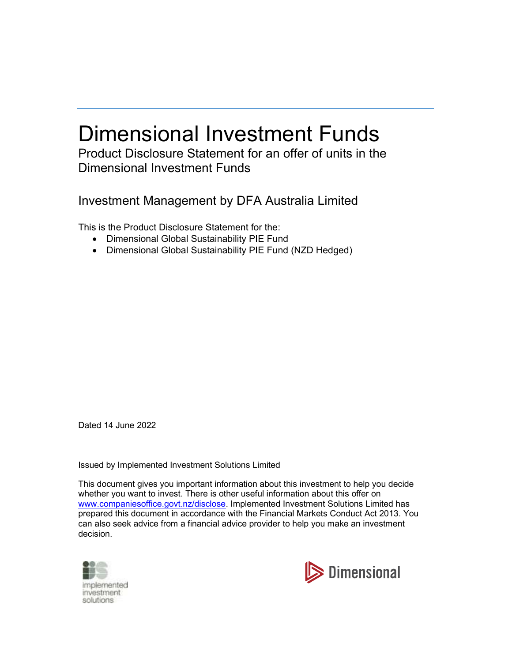# Dimensional Investment Funds

Product Disclosure Statement for an offer of units in the Dimensional Investment Funds

Investment Management by DFA Australia Limited

This is the Product Disclosure Statement for the:

- Dimensional Global Sustainability PIE Fund
- Dimensional Global Sustainability PIE Fund (NZD Hedged)

Dated 14 June 2022

Issued by Implemented Investment Solutions Limited

This document gives you important information about this investment to help you decide whether you want to invest. There is other useful information about this offer on www.companiesoffice.govt.nz/disclose. Implemented Investment Solutions Limited has prepared this document in accordance with the Financial Markets Conduct Act 2013. You can also seek advice from a financial advice provider to help you make an investment decision.



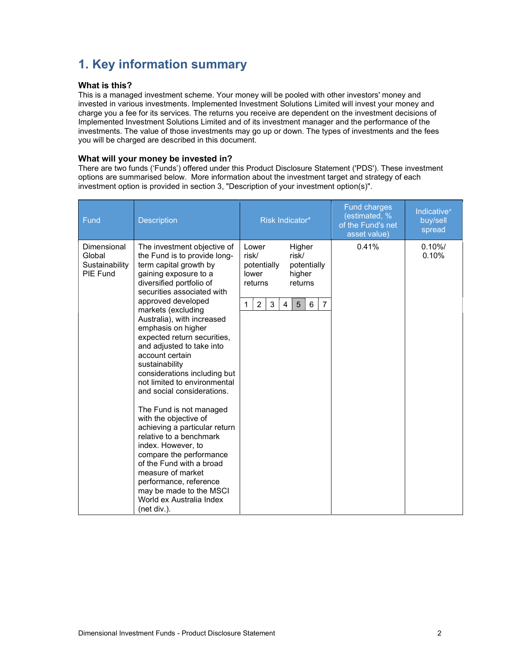# 1. Key information summary

### What is this?

This is a managed investment scheme. Your money will be pooled with other investors' money and invested in various investments. Implemented Investment Solutions Limited will invest your money and charge you a fee for its services. The returns you receive are dependent on the investment decisions of Implemented Investment Solutions Limited and of its investment manager and the performance of the investments. The value of those investments may go up or down. The types of investments and the fees you will be charged are described in this document.

### What will your money be invested in?

There are two funds ('Funds') offered under this Product Disclosure Statement ('PDS'). These investment options are summarised below. More information about the investment target and strategy of each investment option is provided in section 3, "Description of your investment option(s)".

| Fund                                                       | <b>Description</b>                                                                                                                                                                                                                                                                                                                                                                                                                                                                                                                                                                                                                                                                                                                                                                        | Risk Indicator*                                                                                                                                                       | <b>Fund charges</b><br>(estimated, %<br>of the Fund's net<br>asset value) | Indicative <sup>+</sup><br>buy/sell<br>spread |
|------------------------------------------------------------|-------------------------------------------------------------------------------------------------------------------------------------------------------------------------------------------------------------------------------------------------------------------------------------------------------------------------------------------------------------------------------------------------------------------------------------------------------------------------------------------------------------------------------------------------------------------------------------------------------------------------------------------------------------------------------------------------------------------------------------------------------------------------------------------|-----------------------------------------------------------------------------------------------------------------------------------------------------------------------|---------------------------------------------------------------------------|-----------------------------------------------|
| Dimensional<br>Global<br>Sustainability<br><b>PIE Fund</b> | The investment objective of<br>the Fund is to provide long-<br>term capital growth by<br>gaining exposure to a<br>diversified portfolio of<br>securities associated with<br>approved developed<br>markets (excluding<br>Australia), with increased<br>emphasis on higher<br>expected return securities,<br>and adjusted to take into<br>account certain<br>sustainability<br>considerations including but<br>not limited to environmental<br>and social considerations.<br>The Fund is not managed<br>with the objective of<br>achieving a particular return<br>relative to a benchmark<br>index. However, to<br>compare the performance<br>of the Fund with a broad<br>measure of market<br>performance, reference<br>may be made to the MSCI<br>World ex Australia Index<br>(net div.). | Higher<br>Lower<br>risk/<br>risk/<br>potentially<br>potentially<br>lower<br>higher<br>returns<br>returns<br>$\overline{2}$<br>3<br>$\overline{7}$<br>6<br>1<br>4<br>5 | 0.41%                                                                     | 0.10%<br>0.10%                                |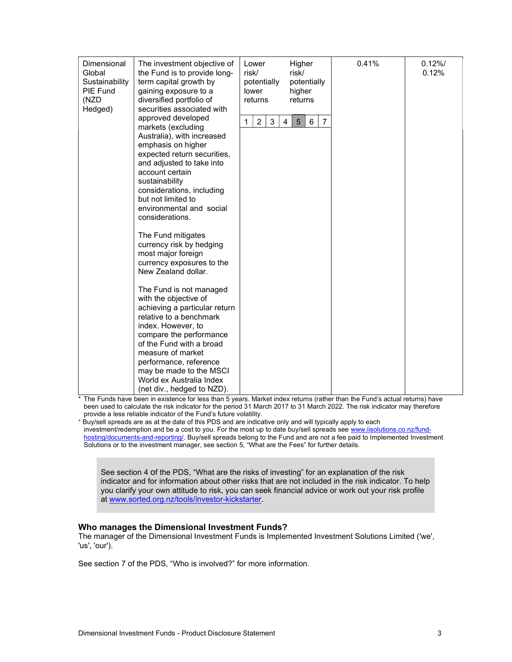| Dimensional<br>Global<br>Sustainability<br>PIE Fund<br>(NZD<br>Hedged) | The investment objective of<br>the Fund is to provide long-<br>term capital growth by<br>gaining exposure to a<br>diversified portfolio of<br>securities associated with                                                                                                                                                                                                                                                                                                                                                                                                                                                                                                                                                                                     |                          | Higher<br>risk/<br>potentially<br>potentially<br>higher<br>returns | 0.41% | 0.12%<br>0.12% |
|------------------------------------------------------------------------|--------------------------------------------------------------------------------------------------------------------------------------------------------------------------------------------------------------------------------------------------------------------------------------------------------------------------------------------------------------------------------------------------------------------------------------------------------------------------------------------------------------------------------------------------------------------------------------------------------------------------------------------------------------------------------------------------------------------------------------------------------------|--------------------------|--------------------------------------------------------------------|-------|----------------|
|                                                                        | approved developed<br>markets (excluding<br>Australia), with increased<br>emphasis on higher<br>expected return securities,<br>and adjusted to take into<br>account certain<br>sustainability<br>considerations, including<br>but not limited to<br>environmental and social<br>considerations.<br>The Fund mitigates<br>currency risk by hedging<br>most major foreign<br>currency exposures to the<br>New Zealand dollar.<br>The Fund is not managed<br>with the objective of<br>achieving a particular return<br>relative to a benchmark<br>index. However, to<br>compare the performance<br>of the Fund with a broad<br>measure of market<br>performance, reference<br>may be made to the MSCI<br>World ex Australia Index<br>(net div., hedged to NZD). | $\overline{2}$<br>3<br>1 | $\overline{7}$<br>6<br>4<br>5                                      |       |                |

\* The Funds have been in existence for less than 5 years. Market index returns (rather than the Fund's actual returns) have been used to calculate the risk indicator for the period 31 March 2017 to 31 March 2022. The risk indicator may therefore provide a less reliable indicator of the Fund's future volatility.

<sup>+</sup> Buy/sell spreads are as at the date of this PDS and are indicative only and will typically apply to each investment/redemption and be a cost to you. For the most up to date buy/sell spreads see www.iisolutions.co.nz/fundhosting/documents-and-reporting/. Buy/sell spreads belong to the Fund and are not a fee paid to Implemented Investment Solutions or to the investment manager, see section 5, "What are the Fees" for further details.

See section 4 of the PDS, "What are the risks of investing" for an explanation of the risk indicator and for information about other risks that are not included in the risk indicator. To help you clarify your own attitude to risk, you can seek financial advice or work out your risk profile at www.sorted.org.nz/tools/investor-kickstarter.

#### Who manages the Dimensional Investment Funds?

The manager of the Dimensional Investment Funds is Implemented Investment Solutions Limited ('we', 'us', 'our').

See section 7 of the PDS, "Who is involved?" for more information.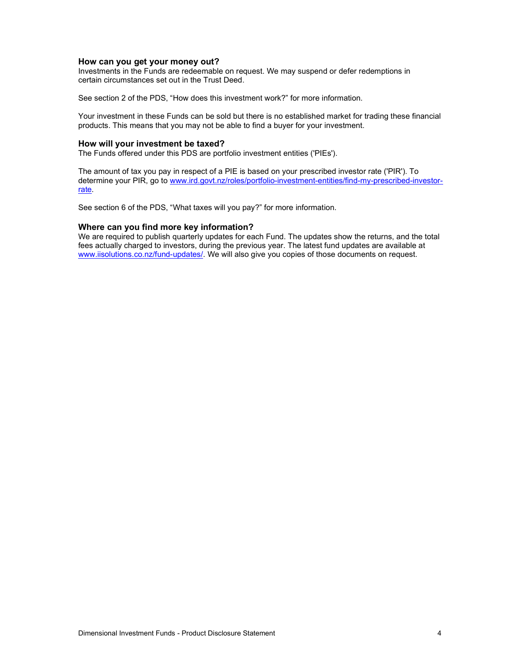#### How can you get your money out?

Investments in the Funds are redeemable on request. We may suspend or defer redemptions in certain circumstances set out in the Trust Deed.

See section 2 of the PDS, "How does this investment work?" for more information.

Your investment in these Funds can be sold but there is no established market for trading these financial products. This means that you may not be able to find a buyer for your investment.

#### How will your investment be taxed?

The Funds offered under this PDS are portfolio investment entities ('PIEs').

The amount of tax you pay in respect of a PIE is based on your prescribed investor rate ('PIR'). To determine your PIR, go to www.ird.govt.nz/roles/portfolio-investment-entities/find-my-prescribed-investorrate.

See section 6 of the PDS, "What taxes will you pay?" for more information.

#### Where can you find more key information?

We are required to publish quarterly updates for each Fund. The updates show the returns, and the total fees actually charged to investors, during the previous year. The latest fund updates are available at www.iisolutions.co.nz/fund-updates/. We will also give you copies of those documents on request.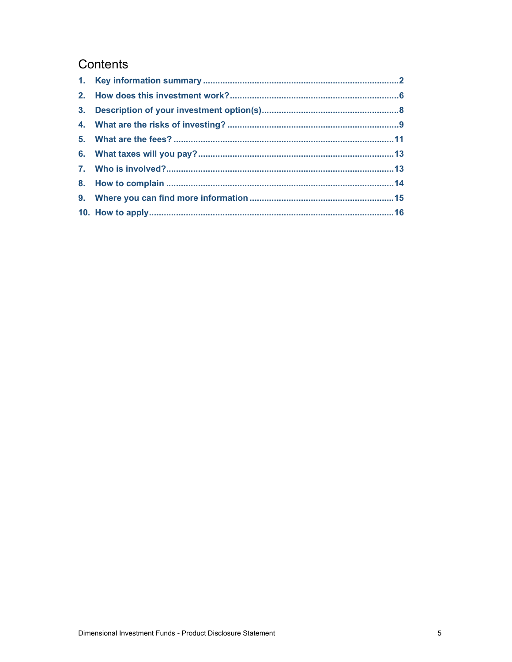# Contents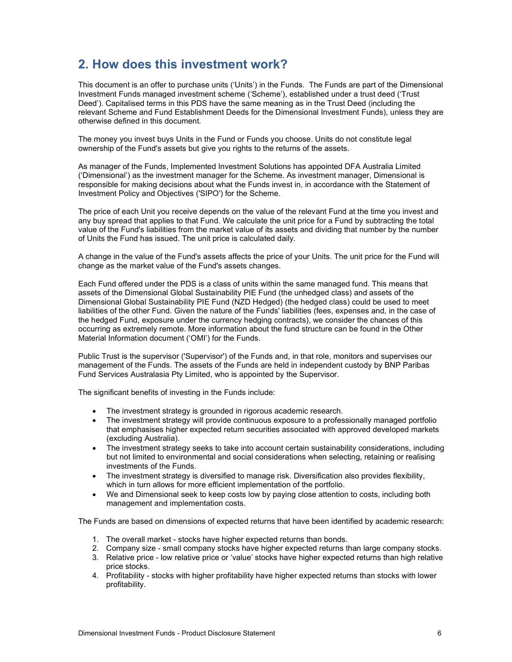# 2. How does this investment work?

This document is an offer to purchase units ('Units') in the Funds. The Funds are part of the Dimensional Investment Funds managed investment scheme ('Scheme'), established under a trust deed ('Trust Deed'). Capitalised terms in this PDS have the same meaning as in the Trust Deed (including the relevant Scheme and Fund Establishment Deeds for the Dimensional Investment Funds), unless they are otherwise defined in this document.

The money you invest buys Units in the Fund or Funds you choose. Units do not constitute legal ownership of the Fund's assets but give you rights to the returns of the assets.

As manager of the Funds, Implemented Investment Solutions has appointed DFA Australia Limited ('Dimensional') as the investment manager for the Scheme. As investment manager, Dimensional is responsible for making decisions about what the Funds invest in, in accordance with the Statement of Investment Policy and Objectives ('SIPO') for the Scheme.

The price of each Unit you receive depends on the value of the relevant Fund at the time you invest and any buy spread that applies to that Fund. We calculate the unit price for a Fund by subtracting the total value of the Fund's liabilities from the market value of its assets and dividing that number by the number of Units the Fund has issued. The unit price is calculated daily.

A change in the value of the Fund's assets affects the price of your Units. The unit price for the Fund will change as the market value of the Fund's assets changes.

Each Fund offered under the PDS is a class of units within the same managed fund. This means that assets of the Dimensional Global Sustainability PIE Fund (the unhedged class) and assets of the Dimensional Global Sustainability PIE Fund (NZD Hedged) (the hedged class) could be used to meet liabilities of the other Fund. Given the nature of the Funds' liabilities (fees, expenses and, in the case of the hedged Fund, exposure under the currency hedging contracts), we consider the chances of this occurring as extremely remote. More information about the fund structure can be found in the Other Material Information document ('OMI') for the Funds.

Public Trust is the supervisor ('Supervisor') of the Funds and, in that role, monitors and supervises our management of the Funds. The assets of the Funds are held in independent custody by BNP Paribas Fund Services Australasia Pty Limited, who is appointed by the Supervisor.

The significant benefits of investing in the Funds include:

- The investment strategy is grounded in rigorous academic research.
- The investment strategy will provide continuous exposure to a professionally managed portfolio that emphasises higher expected return securities associated with approved developed markets (excluding Australia).
- The investment strategy seeks to take into account certain sustainability considerations, including but not limited to environmental and social considerations when selecting, retaining or realising investments of the Funds.
- The investment strategy is diversified to manage risk. Diversification also provides flexibility, which in turn allows for more efficient implementation of the portfolio.
- We and Dimensional seek to keep costs low by paying close attention to costs, including both management and implementation costs.

The Funds are based on dimensions of expected returns that have been identified by academic research:

- 1. The overall market stocks have higher expected returns than bonds.
- 2. Company size small company stocks have higher expected returns than large company stocks.
- 3. Relative price low relative price or 'value' stocks have higher expected returns than high relative price stocks.
- 4. Profitability stocks with higher profitability have higher expected returns than stocks with lower profitability.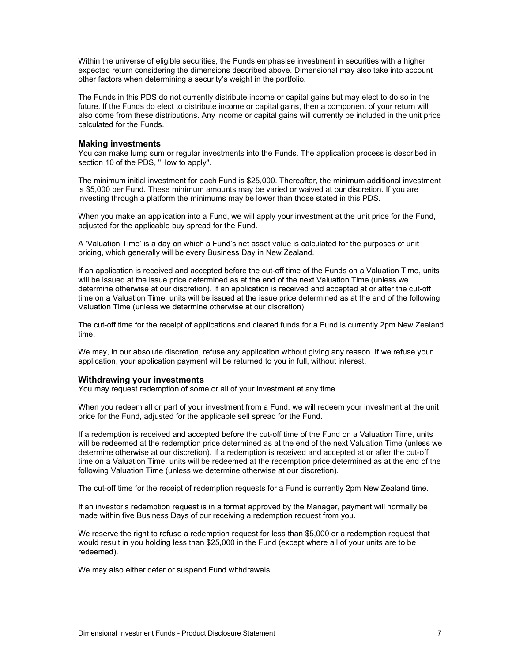Within the universe of eligible securities, the Funds emphasise investment in securities with a higher expected return considering the dimensions described above. Dimensional may also take into account other factors when determining a security's weight in the portfolio.

The Funds in this PDS do not currently distribute income or capital gains but may elect to do so in the future. If the Funds do elect to distribute income or capital gains, then a component of your return will also come from these distributions. Any income or capital gains will currently be included in the unit price calculated for the Funds.

#### Making investments

You can make lump sum or regular investments into the Funds. The application process is described in section 10 of the PDS, "How to apply".

The minimum initial investment for each Fund is \$25,000. Thereafter, the minimum additional investment is \$5,000 per Fund. These minimum amounts may be varied or waived at our discretion. If you are investing through a platform the minimums may be lower than those stated in this PDS.

When you make an application into a Fund, we will apply your investment at the unit price for the Fund, adjusted for the applicable buy spread for the Fund.

A 'Valuation Time' is a day on which a Fund's net asset value is calculated for the purposes of unit pricing, which generally will be every Business Day in New Zealand.

If an application is received and accepted before the cut-off time of the Funds on a Valuation Time, units will be issued at the issue price determined as at the end of the next Valuation Time (unless we determine otherwise at our discretion). If an application is received and accepted at or after the cut-off time on a Valuation Time, units will be issued at the issue price determined as at the end of the following Valuation Time (unless we determine otherwise at our discretion).

The cut-off time for the receipt of applications and cleared funds for a Fund is currently 2pm New Zealand time.

We may, in our absolute discretion, refuse any application without giving any reason. If we refuse your application, your application payment will be returned to you in full, without interest.

#### Withdrawing your investments

You may request redemption of some or all of your investment at any time.

When you redeem all or part of your investment from a Fund, we will redeem your investment at the unit price for the Fund, adjusted for the applicable sell spread for the Fund.

If a redemption is received and accepted before the cut-off time of the Fund on a Valuation Time, units will be redeemed at the redemption price determined as at the end of the next Valuation Time (unless we determine otherwise at our discretion). If a redemption is received and accepted at or after the cut-off time on a Valuation Time, units will be redeemed at the redemption price determined as at the end of the following Valuation Time (unless we determine otherwise at our discretion).

The cut-off time for the receipt of redemption requests for a Fund is currently 2pm New Zealand time.

If an investor's redemption request is in a format approved by the Manager, payment will normally be made within five Business Days of our receiving a redemption request from you.

We reserve the right to refuse a redemption request for less than \$5,000 or a redemption request that would result in you holding less than \$25,000 in the Fund (except where all of your units are to be redeemed).

We may also either defer or suspend Fund withdrawals.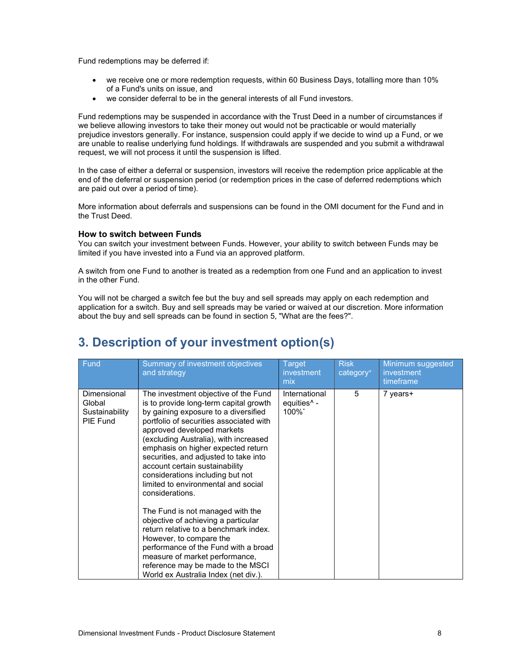Fund redemptions may be deferred if:

- we receive one or more redemption requests, within 60 Business Days, totalling more than 10% of a Fund's units on issue, and
- we consider deferral to be in the general interests of all Fund investors.

Fund redemptions may be suspended in accordance with the Trust Deed in a number of circumstances if we believe allowing investors to take their money out would not be practicable or would materially prejudice investors generally. For instance, suspension could apply if we decide to wind up a Fund, or we are unable to realise underlying fund holdings. If withdrawals are suspended and you submit a withdrawal request, we will not process it until the suspension is lifted.

In the case of either a deferral or suspension, investors will receive the redemption price applicable at the end of the deferral or suspension period (or redemption prices in the case of deferred redemptions which are paid out over a period of time).

More information about deferrals and suspensions can be found in the OMI document for the Fund and in the Trust Deed.

#### How to switch between Funds

You can switch your investment between Funds. However, your ability to switch between Funds may be limited if you have invested into a Fund via an approved platform.

A switch from one Fund to another is treated as a redemption from one Fund and an application to invest in the other Fund.

You will not be charged a switch fee but the buy and sell spreads may apply on each redemption and application for a switch. Buy and sell spreads may be varied or waived at our discretion. More information about the buy and sell spreads can be found in section 5, "What are the fees?".

# 3. Description of your investment option(s)

| Fund                                                | Summary of investment objectives<br>and strategy                                                                                                                                                                                                                                                                                                                                                                                                                                                                                                                                                                                                                                                                                                              | <b>Target</b><br>investment<br>mix                | <b>Risk</b><br>category <sup>+</sup> | Minimum suggested<br>investment<br>timeframe |
|-----------------------------------------------------|---------------------------------------------------------------------------------------------------------------------------------------------------------------------------------------------------------------------------------------------------------------------------------------------------------------------------------------------------------------------------------------------------------------------------------------------------------------------------------------------------------------------------------------------------------------------------------------------------------------------------------------------------------------------------------------------------------------------------------------------------------------|---------------------------------------------------|--------------------------------------|----------------------------------------------|
| Dimensional<br>Global<br>Sustainability<br>PIE Fund | The investment objective of the Fund<br>is to provide long-term capital growth<br>by gaining exposure to a diversified<br>portfolio of securities associated with<br>approved developed markets<br>(excluding Australia), with increased<br>emphasis on higher expected return<br>securities, and adjusted to take into<br>account certain sustainability<br>considerations including but not<br>limited to environmental and social<br>considerations.<br>The Fund is not managed with the<br>objective of achieving a particular<br>return relative to a benchmark index.<br>However, to compare the<br>performance of the Fund with a broad<br>measure of market performance,<br>reference may be made to the MSCI<br>World ex Australia Index (net div.). | International<br>equities <sup>^</sup> -<br>100%* | 5                                    | 7 years+                                     |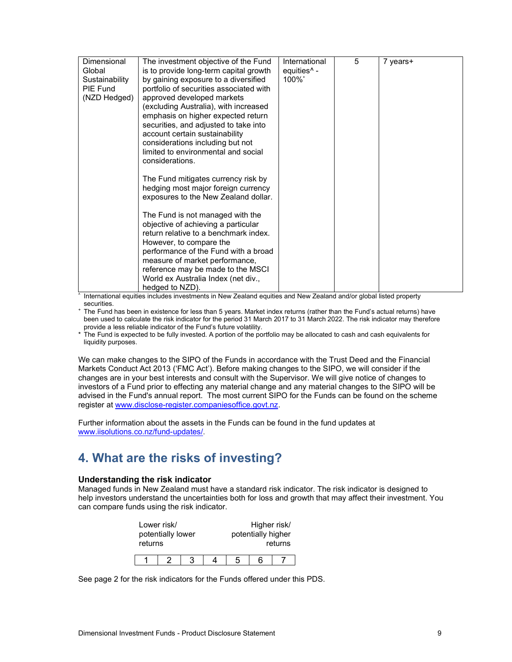| Dimensional    | The investment objective of the Fund    | International           | 5 | 7 years+ |
|----------------|-----------------------------------------|-------------------------|---|----------|
| Global         | is to provide long-term capital growth  | equities <sup>^</sup> - |   |          |
| Sustainability | by gaining exposure to a diversified    | 100%*                   |   |          |
| PIE Fund       | portfolio of securities associated with |                         |   |          |
| (NZD Hedged)   | approved developed markets              |                         |   |          |
|                | (excluding Australia), with increased   |                         |   |          |
|                | emphasis on higher expected return      |                         |   |          |
|                | securities, and adjusted to take into   |                         |   |          |
|                | account certain sustainability          |                         |   |          |
|                | considerations including but not        |                         |   |          |
|                | limited to environmental and social     |                         |   |          |
|                | considerations.                         |                         |   |          |
|                |                                         |                         |   |          |
|                | The Fund mitigates currency risk by     |                         |   |          |
|                | hedging most major foreign currency     |                         |   |          |
|                | exposures to the New Zealand dollar.    |                         |   |          |
|                |                                         |                         |   |          |
|                | The Fund is not managed with the        |                         |   |          |
|                | objective of achieving a particular     |                         |   |          |
|                | return relative to a benchmark index.   |                         |   |          |
|                | However, to compare the                 |                         |   |          |
|                | performance of the Fund with a broad    |                         |   |          |
|                | measure of market performance,          |                         |   |          |
|                | reference may be made to the MSCI       |                         |   |          |
|                | World ex Australia Index (net div.,     |                         |   |          |
|                |                                         |                         |   |          |
|                | hedged to NZD).                         |                         |   |          |

 $^{\overline{h}}$  International equities includes investments in New Zealand equities and New Zealand and/or global listed property securities.

<sup>+</sup> The Fund has been in existence for less than 5 years. Market index returns (rather than the Fund's actual returns) have been used to calculate the risk indicator for the period 31 March 2017 to 31 March 2022. The risk indicator may therefore provide a less reliable indicator of the Fund's future volatility.

\* The Fund is expected to be fully invested. A portion of the portfolio may be allocated to cash and cash equivalents for liquidity purposes.

We can make changes to the SIPO of the Funds in accordance with the Trust Deed and the Financial Markets Conduct Act 2013 ('FMC Act'). Before making changes to the SIPO, we will consider if the changes are in your best interests and consult with the Supervisor. We will give notice of changes to investors of a Fund prior to effecting any material change and any material changes to the SIPO will be advised in the Fund's annual report. The most current SIPO for the Funds can be found on the scheme register at www.disclose-register.companiesoffice.govt.nz.

Further information about the assets in the Funds can be found in the fund updates at www.iisolutions.co.nz/fund-updates/.

# 4. What are the risks of investing?

### Understanding the risk indicator

Managed funds in New Zealand must have a standard risk indicator. The risk indicator is designed to help investors understand the uncertainties both for loss and growth that may affect their investment. You can compare funds using the risk indicator.

| returns | Lower risk/<br>potentially lower |  |   | Higher risk/<br>potentially higher | returns |  |
|---------|----------------------------------|--|---|------------------------------------|---------|--|
|         |                                  |  | 5 | ี่ค                                |         |  |

See page 2 for the risk indicators for the Funds offered under this PDS.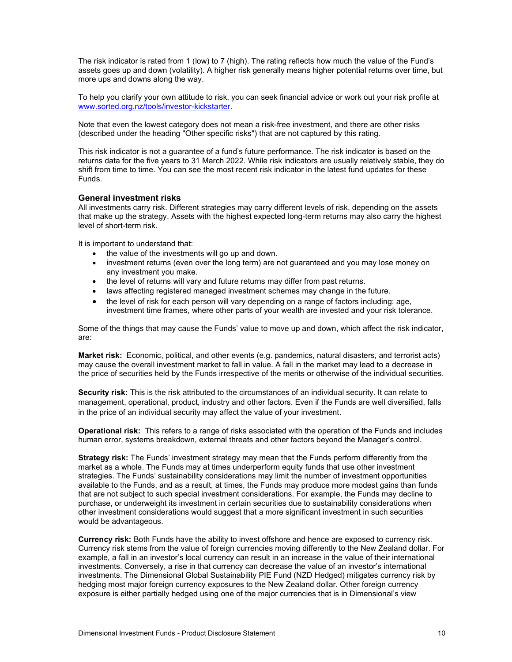The risk indicator is rated from 1 (low) to 7 (high). The rating reflects how much the value of the Fund's assets goes up and down (volatility). A higher risk generally means higher potential returns over time, but more ups and downs along the way.

To help you clarify your own attitude to risk, you can seek financial advice or work out your risk profile at www.sorted.org.nz/tools/investor-kickstarter.

Note that even the lowest category does not mean a risk-free investment, and there are other risks (described under the heading "Other specific risks") that are not captured by this rating.

This risk indicator is not a guarantee of a fund's future performance. The risk indicator is based on the returns data for the five years to 31 March 2022. While risk indicators are usually relatively stable, they do shift from time to time. You can see the most recent risk indicator in the latest fund updates for these Funds.

#### General investment risks

All investments carry risk. Different strategies may carry different levels of risk, depending on the assets that make up the strategy. Assets with the highest expected long-term returns may also carry the highest level of short-term risk.

It is important to understand that:

- the value of the investments will go up and down.
- investment returns (even over the long term) are not guaranteed and you may lose money on any investment you make.
- the level of returns will vary and future returns may differ from past returns.
- laws affecting registered managed investment schemes may change in the future.
- the level of risk for each person will vary depending on a range of factors including: age, investment time frames, where other parts of your wealth are invested and your risk tolerance.

Some of the things that may cause the Funds' value to move up and down, which affect the risk indicator, are:

Market risk: Economic, political, and other events (e.g. pandemics, natural disasters, and terrorist acts) may cause the overall investment market to fall in value. A fall in the market may lead to a decrease in the price of securities held by the Funds irrespective of the merits or otherwise of the individual securities.

Security risk: This is the risk attributed to the circumstances of an individual security. It can relate to management, operational, product, industry and other factors. Even if the Funds are well diversified, falls in the price of an individual security may affect the value of your investment.

**Operational risk:** This refers to a range of risks associated with the operation of the Funds and includes human error, systems breakdown, external threats and other factors beyond the Manager's control.

**Strategy risk:** The Funds' investment strategy may mean that the Funds perform differently from the market as a whole. The Funds may at times underperform equity funds that use other investment strategies. The Funds' sustainability considerations may limit the number of investment opportunities available to the Funds, and as a result, at times, the Funds may produce more modest gains than funds that are not subject to such special investment considerations. For example, the Funds may decline to purchase, or underweight its investment in certain securities due to sustainability considerations when other investment considerations would suggest that a more significant investment in such securities would be advantageous.

Currency risk: Both Funds have the ability to invest offshore and hence are exposed to currency risk. Currency risk stems from the value of foreign currencies moving differently to the New Zealand dollar. For example, a fall in an investor's local currency can result in an increase in the value of their international investments. Conversely, a rise in that currency can decrease the value of an investor's international investments. The Dimensional Global Sustainability PIE Fund (NZD Hedged) mitigates currency risk by hedging most major foreign currency exposures to the New Zealand dollar. Other foreign currency exposure is either partially hedged using one of the major currencies that is in Dimensional's view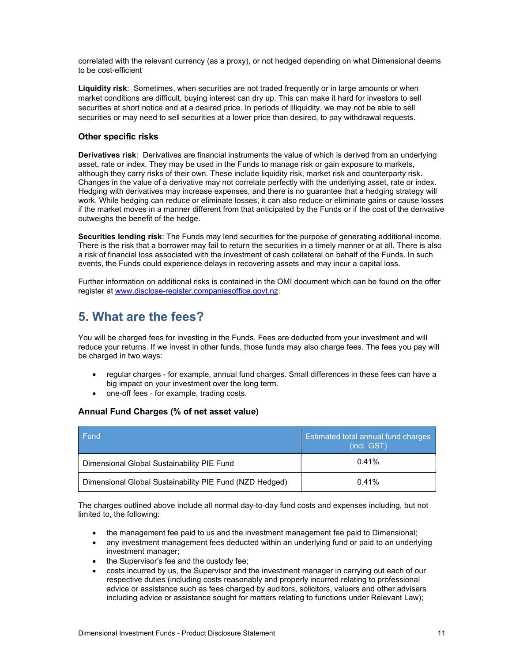correlated with the relevant currency (as a proxy), or not hedged depending on what Dimensional deems to be cost-efficient

Liquidity risk: Sometimes, when securities are not traded frequently or in large amounts or when market conditions are difficult, buying interest can dry up. This can make it hard for investors to sell securities at short notice and at a desired price. In periods of illiquidity, we may not be able to sell securities or may need to sell securities at a lower price than desired, to pay withdrawal requests.

### Other specific risks

Derivatives risk: Derivatives are financial instruments the value of which is derived from an underlying asset, rate or index. They may be used in the Funds to manage risk or gain exposure to markets, although they carry risks of their own. These include liquidity risk, market risk and counterparty risk. Changes in the value of a derivative may not correlate perfectly with the underlying asset, rate or index. Hedging with derivatives may increase expenses, and there is no guarantee that a hedging strategy will work. While hedging can reduce or eliminate losses, it can also reduce or eliminate gains or cause losses if the market moves in a manner different from that anticipated by the Funds or if the cost of the derivative outweighs the benefit of the hedge.

Securities lending risk: The Funds may lend securities for the purpose of generating additional income. There is the risk that a borrower may fail to return the securities in a timely manner or at all. There is also a risk of financial loss associated with the investment of cash collateral on behalf of the Funds. In such events, the Funds could experience delays in recovering assets and may incur a capital loss.

Further information on additional risks is contained in the OMI document which can be found on the offer register at www.disclose-register.companiesoffice.govt.nz.

# 5. What are the fees?

You will be charged fees for investing in the Funds. Fees are deducted from your investment and will reduce your returns. If we invest in other funds, those funds may also charge fees. The fees you pay will be charged in two ways:

- regular charges for example, annual fund charges. Small differences in these fees can have a big impact on your investment over the long term.
- one-off fees for example, trading costs.

### Annual Fund Charges (% of net asset value)

| l Fund                                                  | <b>Estimated total annual fund charges</b><br>(incl. GST) |
|---------------------------------------------------------|-----------------------------------------------------------|
| Dimensional Global Sustainability PIE Fund              | 0.41%                                                     |
| Dimensional Global Sustainability PIE Fund (NZD Hedged) | 0.41%                                                     |

The charges outlined above include all normal day-to-day fund costs and expenses including, but not limited to, the following:

- the management fee paid to us and the investment management fee paid to Dimensional;
- any investment management fees deducted within an underlying fund or paid to an underlying investment manager;
- the Supervisor's fee and the custody fee;
- costs incurred by us, the Supervisor and the investment manager in carrying out each of our respective duties (including costs reasonably and properly incurred relating to professional advice or assistance such as fees charged by auditors, solicitors, valuers and other advisers including advice or assistance sought for matters relating to functions under Relevant Law);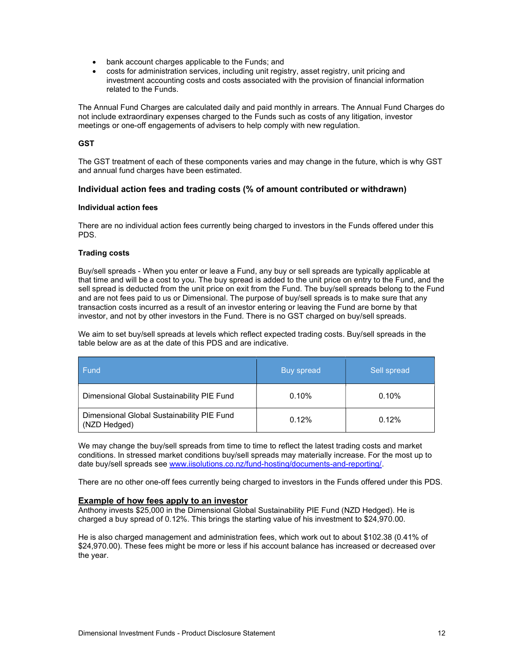- bank account charges applicable to the Funds; and
- costs for administration services, including unit registry, asset registry, unit pricing and investment accounting costs and costs associated with the provision of financial information related to the Funds.

The Annual Fund Charges are calculated daily and paid monthly in arrears. The Annual Fund Charges do not include extraordinary expenses charged to the Funds such as costs of any litigation, investor meetings or one-off engagements of advisers to help comply with new regulation.

### **GST**

The GST treatment of each of these components varies and may change in the future, which is why GST and annual fund charges have been estimated.

### Individual action fees and trading costs (% of amount contributed or withdrawn)

#### Individual action fees

There are no individual action fees currently being charged to investors in the Funds offered under this PDS.

#### Trading costs

Buy/sell spreads - When you enter or leave a Fund, any buy or sell spreads are typically applicable at that time and will be a cost to you. The buy spread is added to the unit price on entry to the Fund, and the sell spread is deducted from the unit price on exit from the Fund. The buy/sell spreads belong to the Fund and are not fees paid to us or Dimensional. The purpose of buy/sell spreads is to make sure that any transaction costs incurred as a result of an investor entering or leaving the Fund are borne by that investor, and not by other investors in the Fund. There is no GST charged on buy/sell spreads.

We aim to set buy/sell spreads at levels which reflect expected trading costs. Buy/sell spreads in the table below are as at the date of this PDS and are indicative.

| Fund                                                       | Buy spread | Sell spread |
|------------------------------------------------------------|------------|-------------|
| Dimensional Global Sustainability PIE Fund                 | 0.10%      | 0.10%       |
| Dimensional Global Sustainability PIE Fund<br>(NZD Hedged) | 0.12%      | $0.12\%$    |

We may change the buy/sell spreads from time to time to reflect the latest trading costs and market conditions. In stressed market conditions buy/sell spreads may materially increase. For the most up to date buy/sell spreads see www.iisolutions.co.nz/fund-hosting/documents-and-reporting/.

There are no other one-off fees currently being charged to investors in the Funds offered under this PDS.

### Example of how fees apply to an investor

Anthony invests \$25,000 in the Dimensional Global Sustainability PIE Fund (NZD Hedged). He is charged a buy spread of 0.12%. This brings the starting value of his investment to \$24,970.00.

He is also charged management and administration fees, which work out to about \$102.38 (0.41% of \$24,970.00). These fees might be more or less if his account balance has increased or decreased over the year.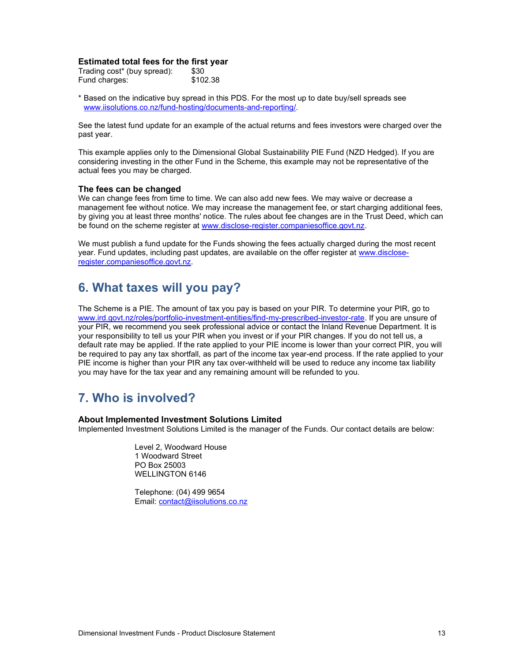### Estimated total fees for the first year

| Trading cost* (buy spread): | \$30     |
|-----------------------------|----------|
| Fund charges:               | \$102.38 |

\* Based on the indicative buy spread in this PDS. For the most up to date buy/sell spreads see www.iisolutions.co.nz/fund-hosting/documents-and-reporting/.

See the latest fund update for an example of the actual returns and fees investors were charged over the past year.

This example applies only to the Dimensional Global Sustainability PIE Fund (NZD Hedged). If you are considering investing in the other Fund in the Scheme, this example may not be representative of the actual fees you may be charged.

#### The fees can be changed

We can change fees from time to time. We can also add new fees. We may waive or decrease a management fee without notice. We may increase the management fee, or start charging additional fees, by giving you at least three months' notice. The rules about fee changes are in the Trust Deed, which can be found on the scheme register at www.disclose-register.companiesoffice.govt.nz.

We must publish a fund update for the Funds showing the fees actually charged during the most recent year. Fund updates, including past updates, are available on the offer register at www.discloseregister.companiesoffice.govt.nz.

### 6. What taxes will you pay?

The Scheme is a PIE. The amount of tax you pay is based on your PIR. To determine your PIR, go to www.ird.govt.nz/roles/portfolio-investment-entities/find-my-prescribed-investor-rate. If you are unsure of your PIR, we recommend you seek professional advice or contact the Inland Revenue Department. It is your responsibility to tell us your PIR when you invest or if your PIR changes. If you do not tell us, a default rate may be applied. If the rate applied to your PIE income is lower than your correct PIR, you will be required to pay any tax shortfall, as part of the income tax year-end process. If the rate applied to your PIE income is higher than your PIR any tax over-withheld will be used to reduce any income tax liability you may have for the tax year and any remaining amount will be refunded to you.

# 7. Who is involved?

#### About Implemented Investment Solutions Limited

Implemented Investment Solutions Limited is the manager of the Funds. Our contact details are below:

Level 2, Woodward House 1 Woodward Street PO Box 25003 WELLINGTON 6146

Telephone: (04) 499 9654 Email: contact@iisolutions.co.nz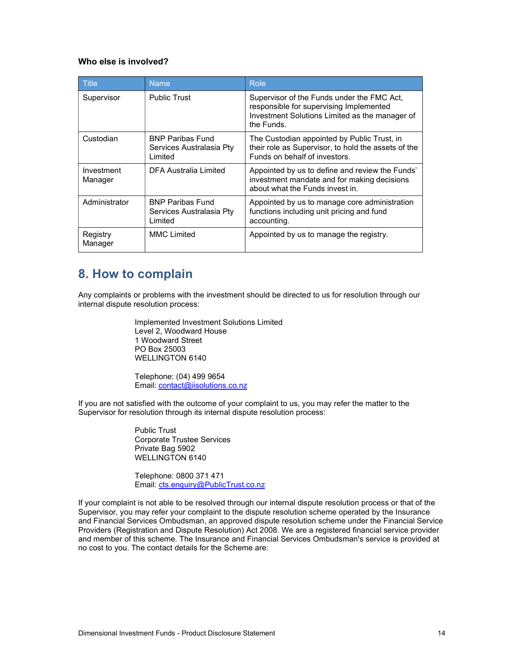### Who else is involved?

| <b>Title</b>          | <b>Name</b>                                                    | Role                                                                                                                                                  |
|-----------------------|----------------------------------------------------------------|-------------------------------------------------------------------------------------------------------------------------------------------------------|
| Supervisor            | <b>Public Trust</b>                                            | Supervisor of the Funds under the FMC Act,<br>responsible for supervising Implemented<br>Investment Solutions Limited as the manager of<br>the Funds. |
| Custodian             | <b>BNP Paribas Fund</b><br>Services Australasia Pty<br>Limited | The Custodian appointed by Public Trust, in<br>their role as Supervisor, to hold the assets of the<br>Funds on behalf of investors.                   |
| Investment<br>Manager | DFA Australia Limited                                          | Appointed by us to define and review the Funds'<br>investment mandate and for making decisions<br>about what the Funds invest in                      |
| Administrator         | <b>BNP Paribas Fund</b><br>Services Australasia Pty<br>Limited | Appointed by us to manage core administration<br>functions including unit pricing and fund<br>accounting.                                             |
| Registry<br>Manager   | <b>MMC Limited</b>                                             | Appointed by us to manage the registry.                                                                                                               |

### 8. How to complain

Any complaints or problems with the investment should be directed to us for resolution through our internal dispute resolution process:

> Implemented Investment Solutions Limited Level 2, Woodward House 1 Woodward Street PO Box 25003 WELLINGTON 6140

Telephone: (04) 499 9654 Email: contact@iisolutions.co.nz

If you are not satisfied with the outcome of your complaint to us, you may refer the matter to the Supervisor for resolution through its internal dispute resolution process:

> Public Trust Corporate Trustee Services Private Bag 5902 WELLINGTON 6140

Telephone: 0800 371 471 Email: cts.enquiry@PublicTrust.co.nz

If your complaint is not able to be resolved through our internal dispute resolution process or that of the Supervisor, you may refer your complaint to the dispute resolution scheme operated by the Insurance and Financial Services Ombudsman, an approved dispute resolution scheme under the Financial Service Providers (Registration and Dispute Resolution) Act 2008. We are a registered financial service provider and member of this scheme. The Insurance and Financial Services Ombudsman's service is provided at no cost to you. The contact details for the Scheme are: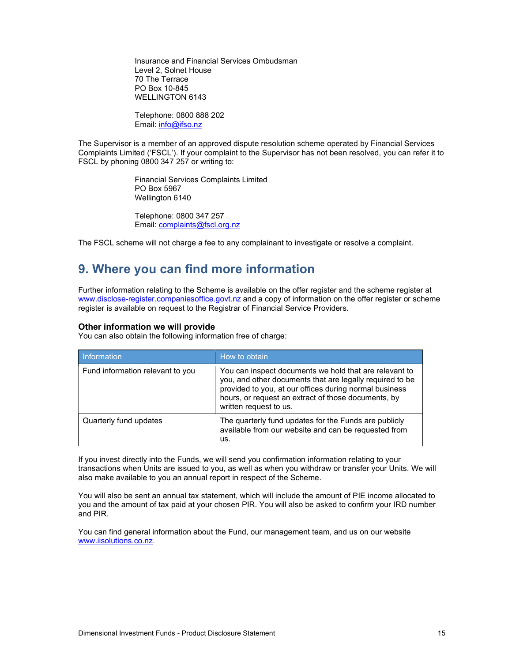Insurance and Financial Services Ombudsman Level 2, Solnet House 70 The Terrace PO Box 10-845 WELLINGTON 6143

Telephone: 0800 888 202 Email: info@ifso.nz

The Supervisor is a member of an approved dispute resolution scheme operated by Financial Services Complaints Limited ('FSCL'). If your complaint to the Supervisor has not been resolved, you can refer it to FSCL by phoning 0800 347 257 or writing to:

> Financial Services Complaints Limited PO Box 5967 Wellington 6140

Telephone: 0800 347 257 Email: complaints@fscl.org.nz

The FSCL scheme will not charge a fee to any complainant to investigate or resolve a complaint.

### 9. Where you can find more information

Further information relating to the Scheme is available on the offer register and the scheme register at www.disclose-register.companiesoffice.govt.nz and a copy of information on the offer register or scheme register is available on request to the Registrar of Financial Service Providers.

#### Other information we will provide

You can also obtain the following information free of charge:

| Information                      | How to obtain                                                                                                                                                                                                                                                 |
|----------------------------------|---------------------------------------------------------------------------------------------------------------------------------------------------------------------------------------------------------------------------------------------------------------|
| Fund information relevant to you | You can inspect documents we hold that are relevant to<br>you, and other documents that are legally required to be<br>provided to you, at our offices during normal business<br>hours, or request an extract of those documents, by<br>written request to us. |
| Quarterly fund updates           | The quarterly fund updates for the Funds are publicly<br>available from our website and can be requested from<br>us.                                                                                                                                          |

If you invest directly into the Funds, we will send you confirmation information relating to your transactions when Units are issued to you, as well as when you withdraw or transfer your Units. We will also make available to you an annual report in respect of the Scheme.

You will also be sent an annual tax statement, which will include the amount of PIE income allocated to you and the amount of tax paid at your chosen PIR. You will also be asked to confirm your IRD number and PIR.

You can find general information about the Fund, our management team, and us on our website www.iisolutions.co.nz.